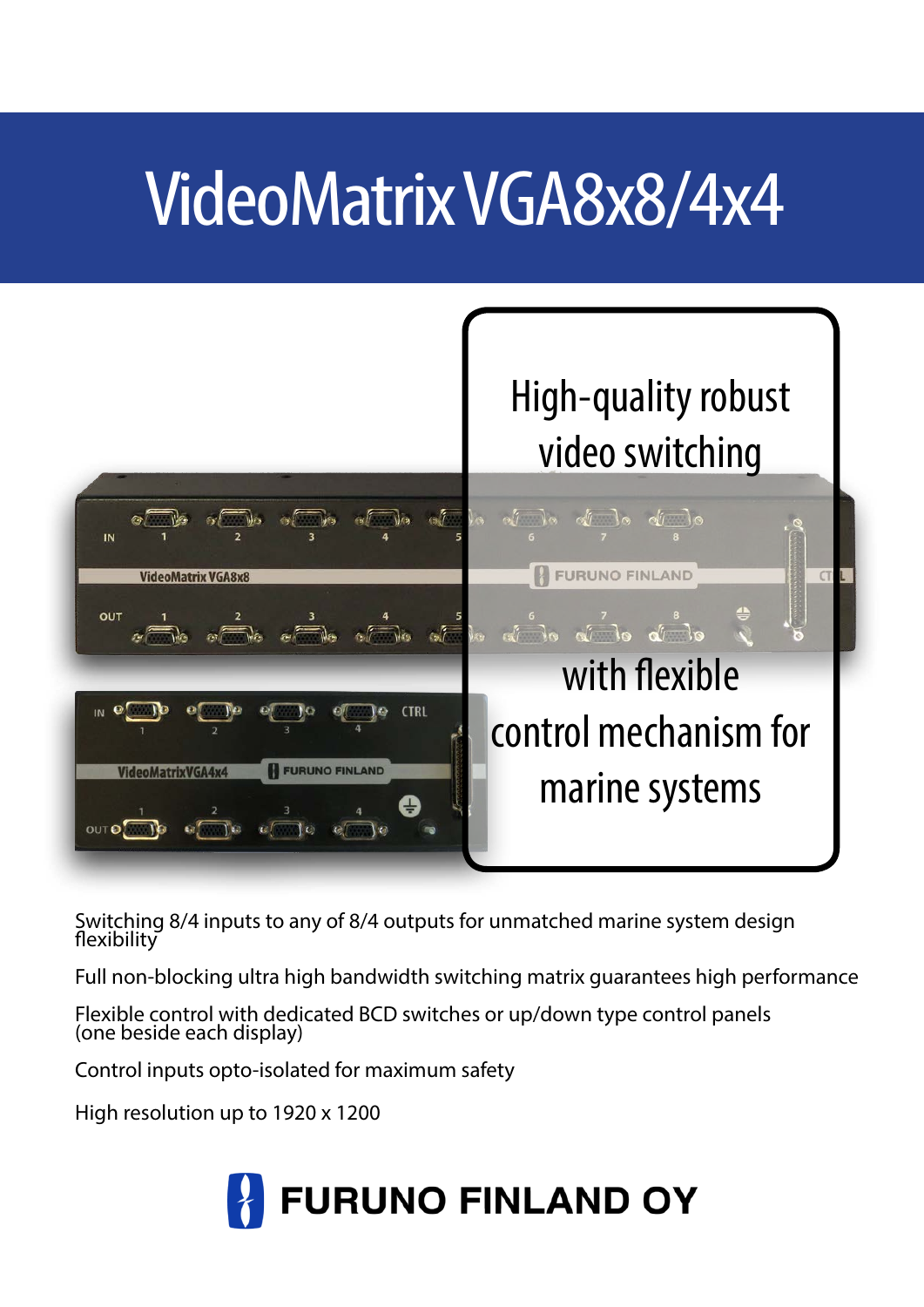# VideoMatrix VGA8x8/4x4



Switching 8/4 inputs to any of 8/4 outputs for unmatched marine system design flexibility l

Full non-blocking ultra high bandwidth switching matrix guarantees high performance

Flexible control with dedicated BCD switches or up/down type control panels (one beside each display)

Control inputs opto-isolated for maximum safety

High resolution up to 1920 x 1200

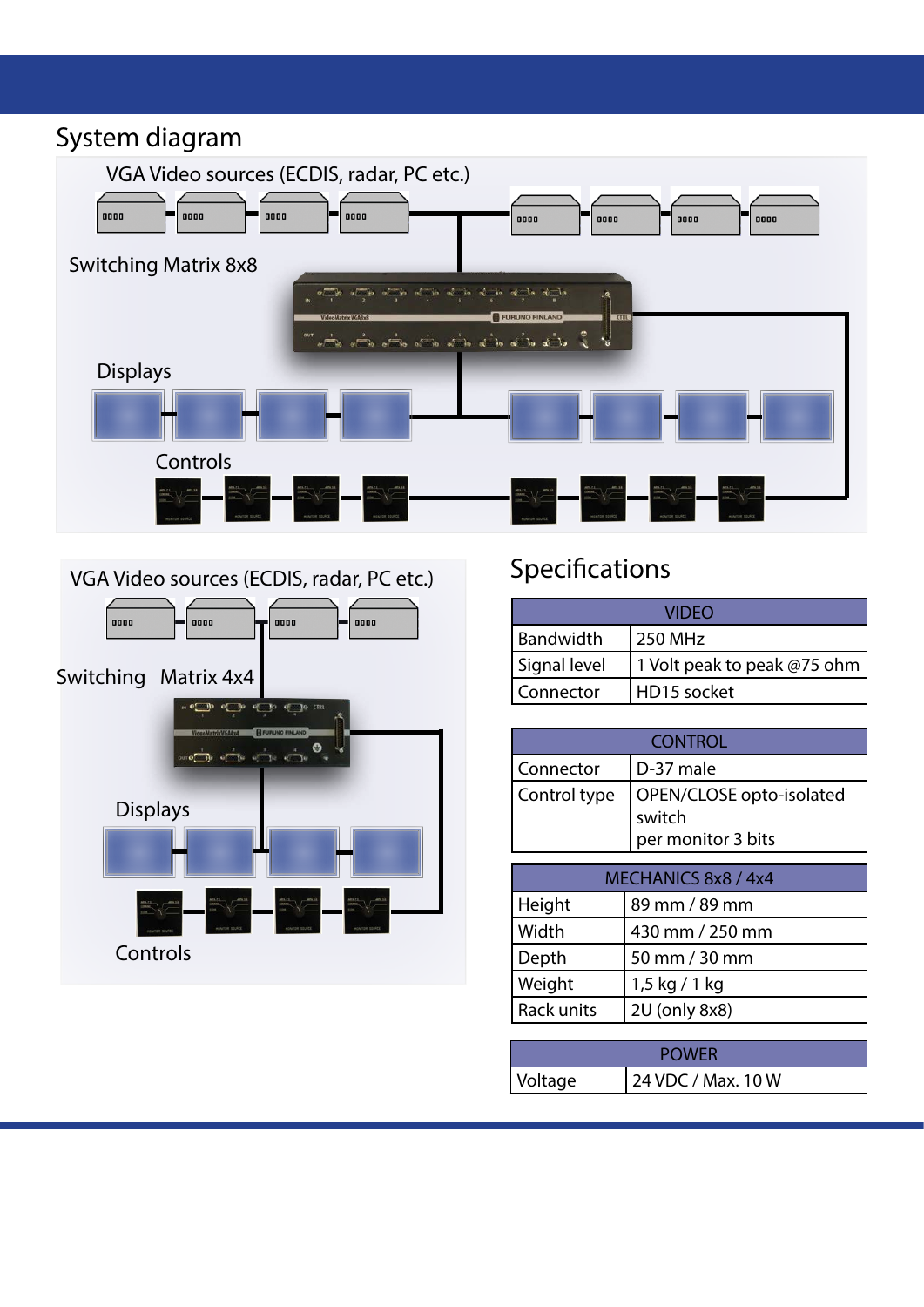### System diagram





## Specifications

| VIDEO        |                             |  |
|--------------|-----------------------------|--|
| Bandwidth    | 250 MHz                     |  |
| Signal level | 1 Volt peak to peak @75 ohm |  |
| Connector    | HD15 socket                 |  |

| <b>CONTROL</b>                                                           |           |  |
|--------------------------------------------------------------------------|-----------|--|
| Connector                                                                | D-37 male |  |
| OPEN/CLOSE opto-isolated<br>Control type<br>switch<br>per monitor 3 bits |           |  |

| MECHANICS 8x8 / 4x4 |                 |  |
|---------------------|-----------------|--|
| Height              | 89 mm / 89 mm   |  |
| Width               | 430 mm / 250 mm |  |
| Depth               | 50 mm / 30 mm   |  |
| Weight              | $1,5$ kg / 1 kg |  |
| Rack units          | 2U (only 8x8)   |  |

| Voltage | 24 VDC / Max. 10 W |
|---------|--------------------|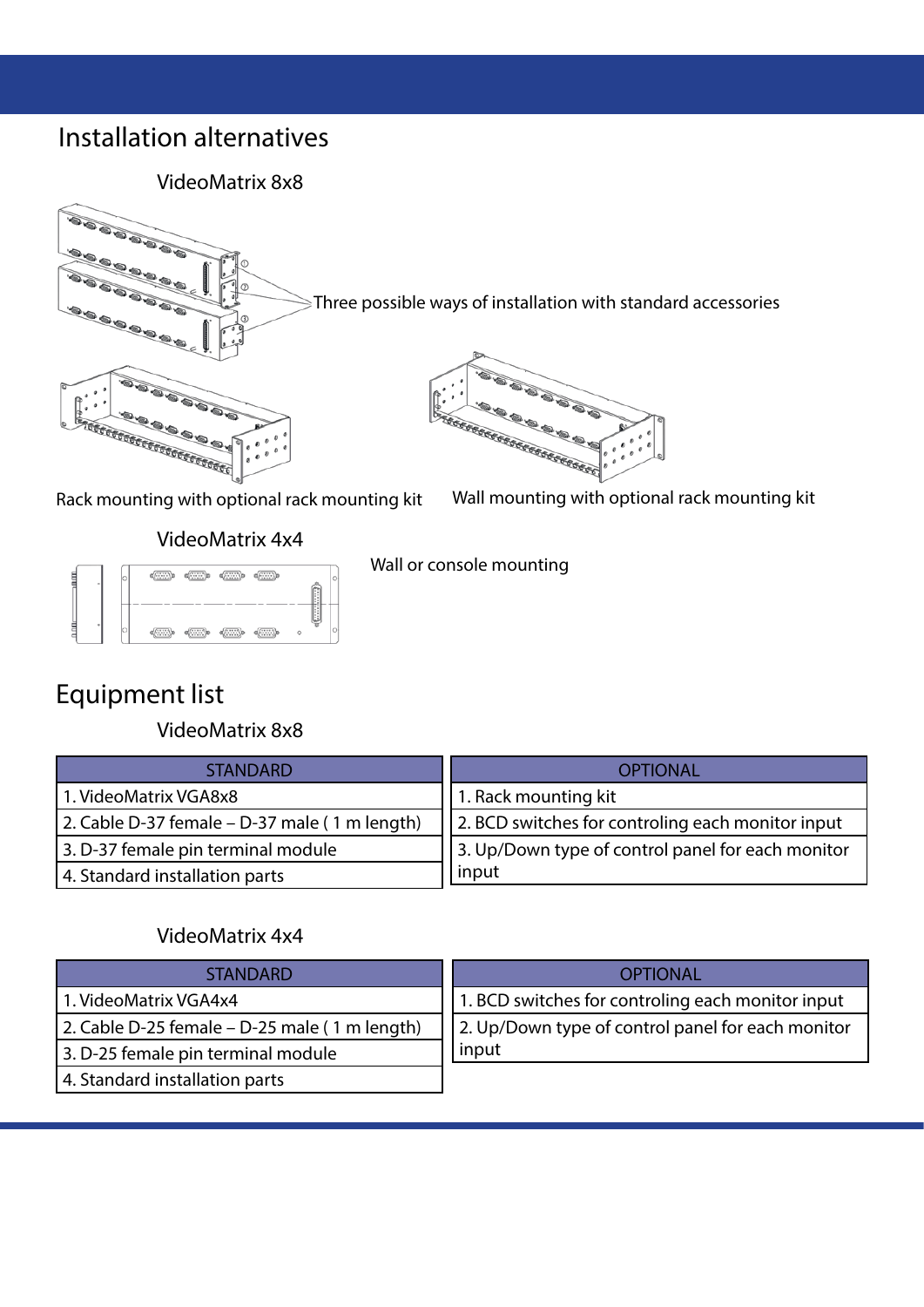#### Installation alternatives

VideoMatrix 8x8



Three possible ways of installation with standard accessories



Rack mounting with optional rack mounting kit Wall mounting with optional rack mounting kit

VideoMatrix 4x4



Wall or console mounting

### Equipment list

VideoMatrix 8x8

| <b>STANDARD</b>                               | <b>OPTIONAL</b>                                   |
|-----------------------------------------------|---------------------------------------------------|
| 1. VideoMatrix VGA8x8                         | 1. Rack mounting kit                              |
| 2. Cable D-37 female – D-37 male (1 m length) | 2. BCD switches for controling each monitor input |
| 3. D-37 female pin terminal module            | 3. Up/Down type of control panel for each monitor |
| 4. Standard installation parts                | input                                             |

#### VideoMatrix 4x4

| <b>STANDARD</b>                               | <b>OPTIONAL</b>                                   |
|-----------------------------------------------|---------------------------------------------------|
| 1. VideoMatrix VGA4x4                         | 1. BCD switches for controling each monitor input |
| 2. Cable D-25 female – D-25 male (1 m length) | 2. Up/Down type of control panel for each monitor |
| 3. D-25 female pin terminal module            | input                                             |
| 4. Standard installation parts                |                                                   |
|                                               |                                                   |